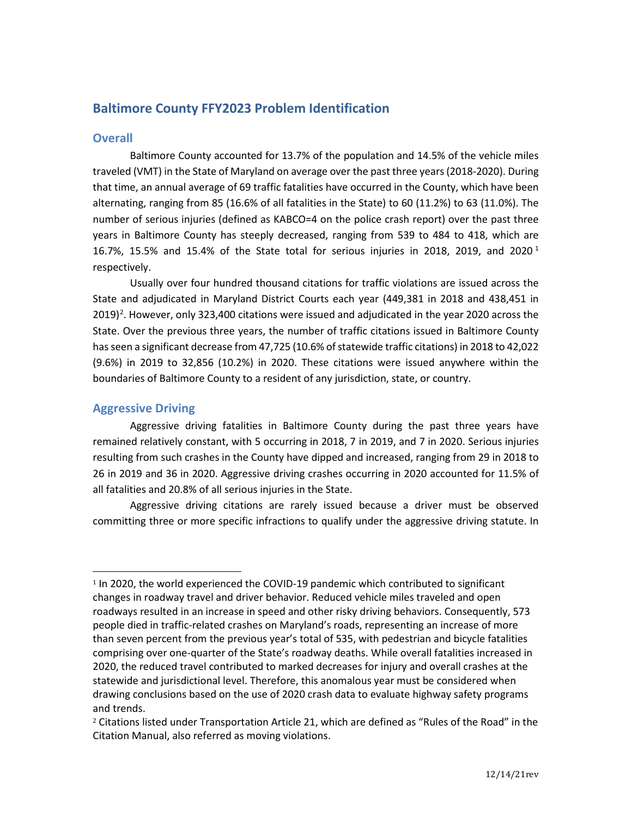# **Baltimore County FFY2023 Problem Identification**

# **Overall**

Baltimore County accounted for 13.7% of the population and 14.5% of the vehicle miles traveled (VMT) in the State of Maryland on average over the past three years (2018-2020). During that time, an annual average of 69 traffic fatalities have occurred in the County, which have been alternating, ranging from 85 (16.6% of all fatalities in the State) to 60 (11.2%) to 63 (11.0%). The number of serious injuries (defined as KABCO=4 on the police crash report) over the past three years in Baltimore County has steeply decreased, ranging from 539 to 484 to 418, which are [1](#page-0-0)6.7%, 15.5% and 15.4% of the State total for serious injuries in 2018, 2019, and 2020<sup>1</sup> respectively.

Usually over four hundred thousand citations for traffic violations are issued across the State and adjudicated in Maryland District Courts each year (449,381 in 2018 and 438,451 in  $2019)$  $2019)$ <sup>2</sup>. However, only 323,400 citations were issued and adjudicated in the year 2020 across the State. Over the previous three years, the number of traffic citations issued in Baltimore County has seen a significant decrease from 47,725 (10.6% of statewide traffic citations) in 2018 to 42,022 (9.6%) in 2019 to 32,856 (10.2%) in 2020. These citations were issued anywhere within the boundaries of Baltimore County to a resident of any jurisdiction, state, or country.

# **Aggressive Driving**

Aggressive driving fatalities in Baltimore County during the past three years have remained relatively constant, with 5 occurring in 2018, 7 in 2019, and 7 in 2020. Serious injuries resulting from such crashes in the County have dipped and increased, ranging from 29 in 2018 to 26 in 2019 and 36 in 2020. Aggressive driving crashes occurring in 2020 accounted for 11.5% of all fatalities and 20.8% of all serious injuries in the State.

Aggressive driving citations are rarely issued because a driver must be observed committing three or more specific infractions to qualify under the aggressive driving statute. In

<span id="page-0-0"></span><sup>&</sup>lt;sup>1</sup> In 2020, the world experienced the COVID-19 pandemic which contributed to significant changes in roadway travel and driver behavior. Reduced vehicle miles traveled and open roadways resulted in an increase in speed and other risky driving behaviors. Consequently, 573 people died in traffic-related crashes on Maryland's roads, representing an increase of more than seven percent from the previous year's total of 535, with pedestrian and bicycle fatalities comprising over one-quarter of the State's roadway deaths. While overall fatalities increased in 2020, the reduced travel contributed to marked decreases for injury and overall crashes at the statewide and jurisdictional level. Therefore, this anomalous year must be considered when drawing conclusions based on the use of 2020 crash data to evaluate highway safety programs and trends.

<span id="page-0-1"></span><sup>2</sup> Citations listed under Transportation Article 21, which are defined as "Rules of the Road" in the Citation Manual, also referred as moving violations.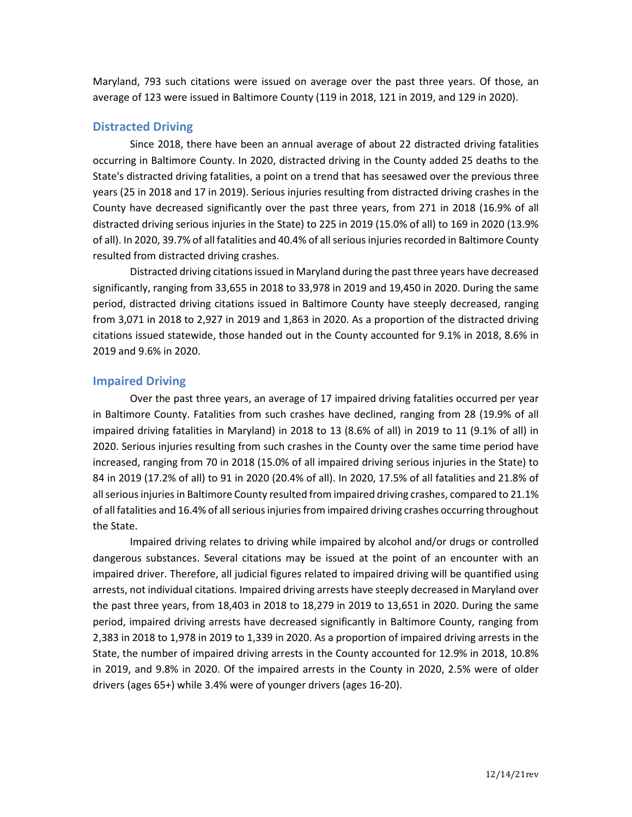Maryland, 793 such citations were issued on average over the past three years. Of those, an average of 123 were issued in Baltimore County (119 in 2018, 121 in 2019, and 129 in 2020).

# **Distracted Driving**

Since 2018, there have been an annual average of about 22 distracted driving fatalities occurring in Baltimore County. In 2020, distracted driving in the County added 25 deaths to the State's distracted driving fatalities, a point on a trend that has seesawed over the previous three years (25 in 2018 and 17 in 2019). Serious injuries resulting from distracted driving crashes in the County have decreased significantly over the past three years, from 271 in 2018 (16.9% of all distracted driving serious injuries in the State) to 225 in 2019 (15.0% of all) to 169 in 2020 (13.9% of all). In 2020, 39.7% of all fatalities and 40.4% of all serious injuries recorded in Baltimore County resulted from distracted driving crashes.

Distracted driving citations issued in Maryland during the past three years have decreased significantly, ranging from 33,655 in 2018 to 33,978 in 2019 and 19,450 in 2020. During the same period, distracted driving citations issued in Baltimore County have steeply decreased, ranging from 3,071 in 2018 to 2,927 in 2019 and 1,863 in 2020. As a proportion of the distracted driving citations issued statewide, those handed out in the County accounted for 9.1% in 2018, 8.6% in 2019 and 9.6% in 2020.

# **Impaired Driving**

Over the past three years, an average of 17 impaired driving fatalities occurred per year in Baltimore County. Fatalities from such crashes have declined, ranging from 28 (19.9% of all impaired driving fatalities in Maryland) in 2018 to 13 (8.6% of all) in 2019 to 11 (9.1% of all) in 2020. Serious injuries resulting from such crashes in the County over the same time period have increased, ranging from 70 in 2018 (15.0% of all impaired driving serious injuries in the State) to 84 in 2019 (17.2% of all) to 91 in 2020 (20.4% of all). In 2020, 17.5% of all fatalities and 21.8% of all serious injuries in Baltimore County resulted from impaired driving crashes, compared to 21.1% of all fatalities and 16.4% of all serious injuries from impaired driving crashes occurring throughout the State.

Impaired driving relates to driving while impaired by alcohol and/or drugs or controlled dangerous substances. Several citations may be issued at the point of an encounter with an impaired driver. Therefore, all judicial figures related to impaired driving will be quantified using arrests, not individual citations. Impaired driving arrests have steeply decreased in Maryland over the past three years, from 18,403 in 2018 to 18,279 in 2019 to 13,651 in 2020. During the same period, impaired driving arrests have decreased significantly in Baltimore County, ranging from 2,383 in 2018 to 1,978 in 2019 to 1,339 in 2020. As a proportion of impaired driving arrests in the State, the number of impaired driving arrests in the County accounted for 12.9% in 2018, 10.8% in 2019, and 9.8% in 2020. Of the impaired arrests in the County in 2020, 2.5% were of older drivers (ages 65+) while 3.4% were of younger drivers (ages 16-20).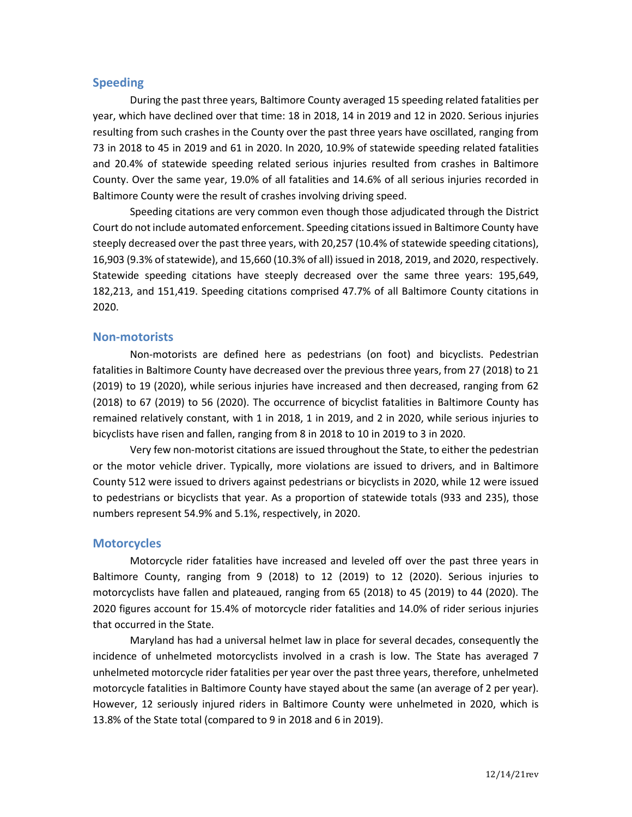### **Speeding**

During the past three years, Baltimore County averaged 15 speeding related fatalities per year, which have declined over that time: 18 in 2018, 14 in 2019 and 12 in 2020. Serious injuries resulting from such crashes in the County over the past three years have oscillated, ranging from 73 in 2018 to 45 in 2019 and 61 in 2020. In 2020, 10.9% of statewide speeding related fatalities and 20.4% of statewide speeding related serious injuries resulted from crashes in Baltimore County. Over the same year, 19.0% of all fatalities and 14.6% of all serious injuries recorded in Baltimore County were the result of crashes involving driving speed.

Speeding citations are very common even though those adjudicated through the District Court do not include automated enforcement. Speeding citations issued in Baltimore County have steeply decreased over the past three years, with 20,257 (10.4% of statewide speeding citations), 16,903 (9.3% of statewide), and 15,660 (10.3% of all) issued in 2018, 2019, and 2020, respectively. Statewide speeding citations have steeply decreased over the same three years: 195,649, 182,213, and 151,419. Speeding citations comprised 47.7% of all Baltimore County citations in 2020.

#### **Non-motorists**

Non-motorists are defined here as pedestrians (on foot) and bicyclists. Pedestrian fatalities in Baltimore County have decreased over the previous three years, from 27 (2018) to 21 (2019) to 19 (2020), while serious injuries have increased and then decreased, ranging from 62 (2018) to 67 (2019) to 56 (2020). The occurrence of bicyclist fatalities in Baltimore County has remained relatively constant, with 1 in 2018, 1 in 2019, and 2 in 2020, while serious injuries to bicyclists have risen and fallen, ranging from 8 in 2018 to 10 in 2019 to 3 in 2020.

Very few non-motorist citations are issued throughout the State, to either the pedestrian or the motor vehicle driver. Typically, more violations are issued to drivers, and in Baltimore County 512 were issued to drivers against pedestrians or bicyclists in 2020, while 12 were issued to pedestrians or bicyclists that year. As a proportion of statewide totals (933 and 235), those numbers represent 54.9% and 5.1%, respectively, in 2020.

### **Motorcycles**

Motorcycle rider fatalities have increased and leveled off over the past three years in Baltimore County, ranging from 9 (2018) to 12 (2019) to 12 (2020). Serious injuries to motorcyclists have fallen and plateaued, ranging from 65 (2018) to 45 (2019) to 44 (2020). The 2020 figures account for 15.4% of motorcycle rider fatalities and 14.0% of rider serious injuries that occurred in the State.

Maryland has had a universal helmet law in place for several decades, consequently the incidence of unhelmeted motorcyclists involved in a crash is low. The State has averaged 7 unhelmeted motorcycle rider fatalities per year over the past three years, therefore, unhelmeted motorcycle fatalities in Baltimore County have stayed about the same (an average of 2 per year). However, 12 seriously injured riders in Baltimore County were unhelmeted in 2020, which is 13.8% of the State total (compared to 9 in 2018 and 6 in 2019).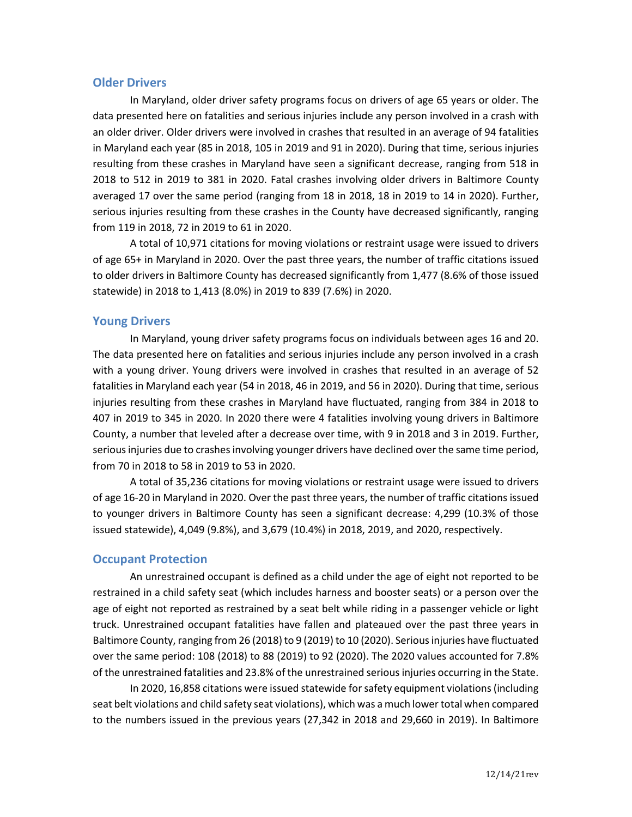### **Older Drivers**

In Maryland, older driver safety programs focus on drivers of age 65 years or older. The data presented here on fatalities and serious injuries include any person involved in a crash with an older driver. Older drivers were involved in crashes that resulted in an average of 94 fatalities in Maryland each year (85 in 2018, 105 in 2019 and 91 in 2020). During that time, serious injuries resulting from these crashes in Maryland have seen a significant decrease, ranging from 518 in 2018 to 512 in 2019 to 381 in 2020. Fatal crashes involving older drivers in Baltimore County averaged 17 over the same period (ranging from 18 in 2018, 18 in 2019 to 14 in 2020). Further, serious injuries resulting from these crashes in the County have decreased significantly, ranging from 119 in 2018, 72 in 2019 to 61 in 2020.

A total of 10,971 citations for moving violations or restraint usage were issued to drivers of age 65+ in Maryland in 2020. Over the past three years, the number of traffic citations issued to older drivers in Baltimore County has decreased significantly from 1,477 (8.6% of those issued statewide) in 2018 to 1,413 (8.0%) in 2019 to 839 (7.6%) in 2020.

# **Young Drivers**

In Maryland, young driver safety programs focus on individuals between ages 16 and 20. The data presented here on fatalities and serious injuries include any person involved in a crash with a young driver. Young drivers were involved in crashes that resulted in an average of 52 fatalities in Maryland each year (54 in 2018, 46 in 2019, and 56 in 2020). During that time, serious injuries resulting from these crashes in Maryland have fluctuated, ranging from 384 in 2018 to 407 in 2019 to 345 in 2020. In 2020 there were 4 fatalities involving young drivers in Baltimore County, a number that leveled after a decrease over time, with 9 in 2018 and 3 in 2019. Further, serious injuries due to crashes involving younger drivers have declined over the same time period, from 70 in 2018 to 58 in 2019 to 53 in 2020.

A total of 35,236 citations for moving violations or restraint usage were issued to drivers of age 16-20 in Maryland in 2020. Over the past three years, the number of traffic citations issued to younger drivers in Baltimore County has seen a significant decrease: 4,299 (10.3% of those issued statewide), 4,049 (9.8%), and 3,679 (10.4%) in 2018, 2019, and 2020, respectively.

### **Occupant Protection**

An unrestrained occupant is defined as a child under the age of eight not reported to be restrained in a child safety seat (which includes harness and booster seats) or a person over the age of eight not reported as restrained by a seat belt while riding in a passenger vehicle or light truck. Unrestrained occupant fatalities have fallen and plateaued over the past three years in Baltimore County, ranging from 26 (2018) to 9 (2019) to 10 (2020). Serious injuries have fluctuated over the same period: 108 (2018) to 88 (2019) to 92 (2020). The 2020 values accounted for 7.8% of the unrestrained fatalities and 23.8% of the unrestrained serious injuries occurring in the State.

In 2020, 16,858 citations were issued statewide for safety equipment violations(including seat belt violations and child safety seat violations), which was a much lower total when compared to the numbers issued in the previous years (27,342 in 2018 and 29,660 in 2019). In Baltimore